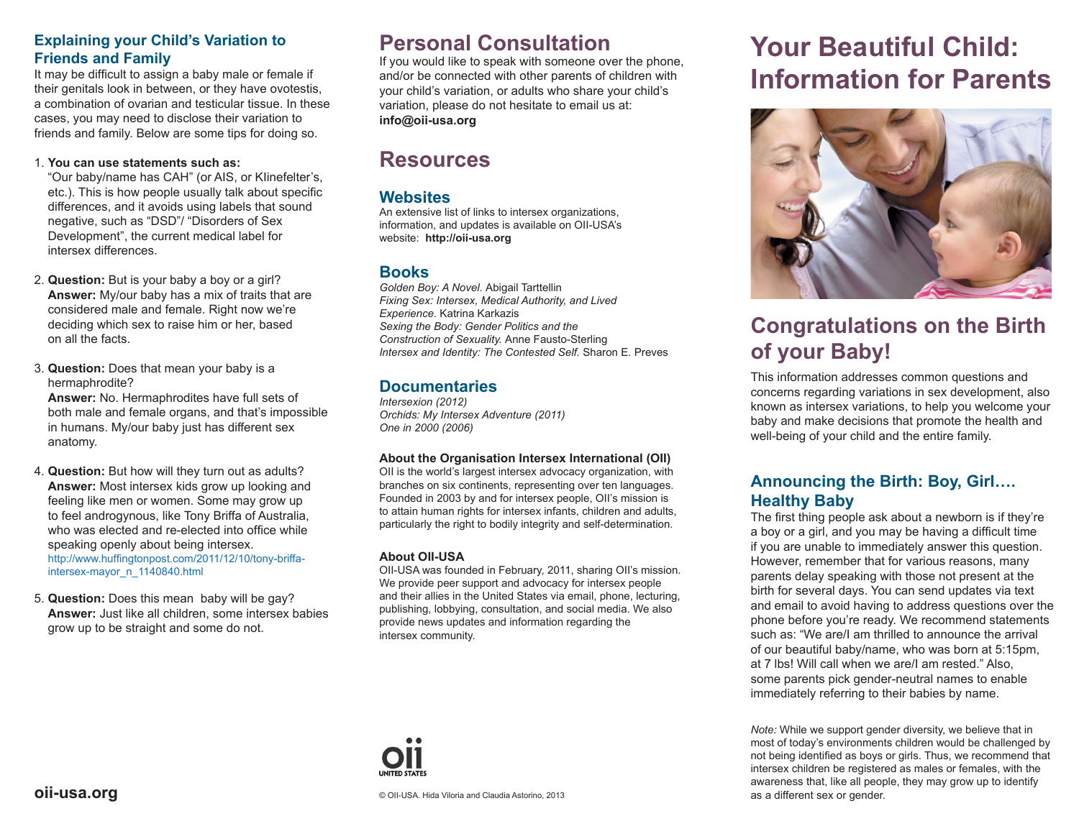## **Explaining your Child's Variation to Friends and Family**

It may be difficult to assign a baby male or female if their genitals look in between, or they have ovotestis, a combination of ovarian and testicular tissue. In these cases, you may need to disclose their variation to friends and family. Below are some tips for doing so.

### 1. **You can use statements such as:**

"Our baby/name has CAH" (or AIS, or KIinefelter's, etc.). This is how people usually talk about specifc differences, and it avoids using labels that sound negative, such as "DSD"/ "Disorders of Sex Development", the current medical label for intersex differences.

- 2. **Question:** But is your baby a boy or a girl? **Answer:** My/our baby has a mix of traits that are considered male and female. Right now we're deciding which sex to raise him or her, based on all the facts.
- 3. **Question:** Does that mean your baby is a hermaphrodite?

**Answer:** No. Hermaphrodites have full sets of both male and female organs, and that's impossible in humans. My/our baby just has different sex anatomy.

- 4. **Question:** But how will they turn out as adults? **Answer:** Most intersex kids grow up looking and feeling like men or women. Some may grow up to feel androgynous, like Tony Briffa of Australia, who was elected and re-elected into office while speaking openly about being intersex. http://www.huffingtonpost.com/2011/12/10/tony-briffaintersex-mayor\_n\_1140840.html
- 5. **Question:** Does this mean baby will be gay? **Answer:** Just like all children, some intersex babies grow up to be straight and some do not.

# **Personal Consultation**

If you would like to speak with someone over the phone, and/or be connected with other parents of children with your child's variation, or adults who share your child's variation, please do not hesitate to email us at: **info@oii-usa.org**

## **Resources**

## **Websites**

An extensive list of links to intersex organizations, information, and updates is available on OII-USA's website: **http://oii-usa.org** 

## **Books**

*Golden Boy: A Novel.* Abigail Tarttellin *Fixing Sex: Intersex, Medical Authority, and Lived Experience.* Katrina Karkazis *Sexing the Body: Gender Politics and the Construction of Sexuality.* Anne Fausto-Sterling *Intersex and Identity: The Contested Self.* Sharon E. Preves

## **Documentaries**

*Intersexion (2012) Orchids: My Intersex Adventure (2011) One in 2000 (2006)*

## **About the Organisation Intersex International (OII)**

OII is the world's largest intersex advocacy organization, with branches on six continents, representing over ten languages. Founded in 2003 by and for intersex people, OII's mission is to attain human rights for intersex infants, children and adults, particularly the right to bodily integrity and self-determination.

## **About OII-USA**

OII-USA was founded in February, 2011, sharing OII's mission. We provide peer support and advocacy for intersex people and their allies in the United States via email, phone, lecturing, publishing, lobbying, consultation, and social media. We also provide news updates and information regarding the intersex community.



# **Your Beautiful Child: Information for Parents**



# **Congratulations on the Birth of your Baby!**

This information addresses common questions and concerns regarding variations in sex development, also known as intersex variations, to help you welcome your baby and make decisions that promote the health and well-being of your child and the entire family.

## **Announcing the Birth: Boy, Girl…. Healthy Baby**

The first thing people ask about a newborn is if they're a boy or a girl, and you may be having a diffcult time if you are unable to immediately answer this question. However, remember that for various reasons, many parents delay speaking with those not present at the birth for several days. You can send updates via text and email to avoid having to address questions over the phone before you're ready. We recommend statements such as: "We are/I am thrilled to announce the arrival of our beautiful baby/name, who was born at 5:15pm, at 7 lbs! Will call when we are/I am rested." Also, some parents pick gender-neutral names to enable immediately referring to their babies by name.

*Note:* While we support gender diversity, we believe that in most of today's environments children would be challenged by not being identifed as boys or girls. Thus, we recommend that intersex children be registered as males or females, with the awareness that, like all people, they may grow up to identify as a different sex or gender.